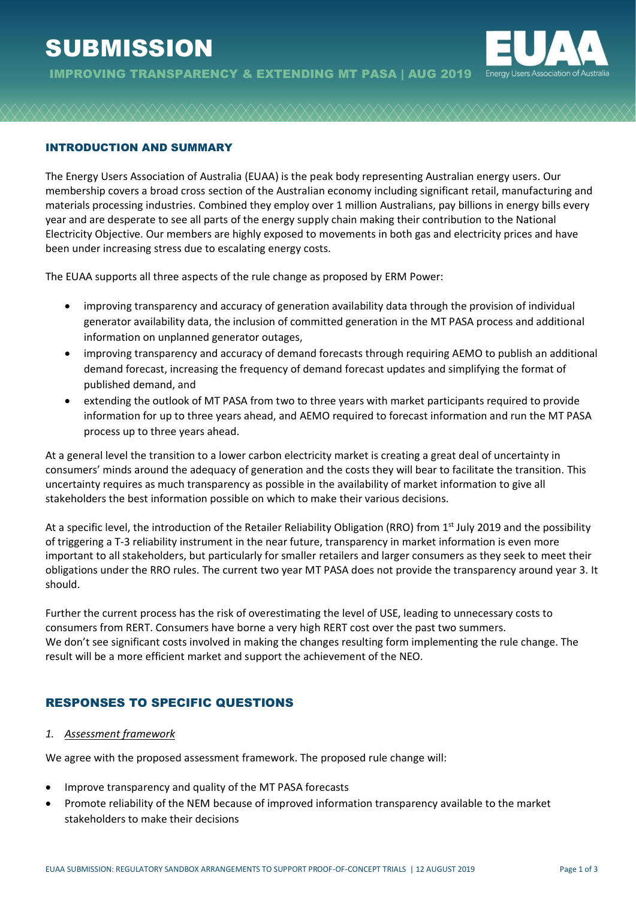# **SUBMISSION**



#### INTRODUCTION AND SUMMARY

The Energy Users Association of Australia (EUAA) is the peak body representing Australian energy users. Our membership covers a broad cross section of the Australian economy including significant retail, manufacturing and materials processing industries. Combined they employ over 1 million Australians, pay billions in energy bills every year and are desperate to see all parts of the energy supply chain making their contribution to the National Electricity Objective. Our members are highly exposed to movements in both gas and electricity prices and have been under increasing stress due to escalating energy costs.

The EUAA supports all three aspects of the rule change as proposed by ERM Power:

- improving transparency and accuracy of generation availability data through the provision of individual generator availability data, the inclusion of committed generation in the MT PASA process and additional information on unplanned generator outages,
- improving transparency and accuracy of demand forecasts through requiring AEMO to publish an additional demand forecast, increasing the frequency of demand forecast updates and simplifying the format of published demand, and
- extending the outlook of MT PASA from two to three years with market participants required to provide information for up to three years ahead, and AEMO required to forecast information and run the MT PASA process up to three years ahead.

At a general level the transition to a lower carbon electricity market is creating a great deal of uncertainty in consumers' minds around the adequacy of generation and the costs they will bear to facilitate the transition. This uncertainty requires as much transparency as possible in the availability of market information to give all stakeholders the best information possible on which to make their various decisions.

At a specific level, the introduction of the Retailer Reliability Obligation (RRO) from 1<sup>st</sup> July 2019 and the possibility of triggering a T-3 reliability instrument in the near future, transparency in market information is even more important to all stakeholders, but particularly for smaller retailers and larger consumers as they seek to meet their obligations under the RRO rules. The current two year MT PASA does not provide the transparency around year 3. It should.

Further the current process has the risk of overestimating the level of USE, leading to unnecessary costs to consumers from RERT. Consumers have borne a very high RERT cost over the past two summers. We don't see significant costs involved in making the changes resulting form implementing the rule change. The result will be a more efficient market and support the achievement of the NEO.

# RESPONSES TO SPECIFIC QUESTIONS

#### *1. Assessment framework*

We agree with the proposed assessment framework. The proposed rule change will:

- Improve transparency and quality of the MT PASA forecasts
- Promote reliability of the NEM because of improved information transparency available to the market stakeholders to make their decisions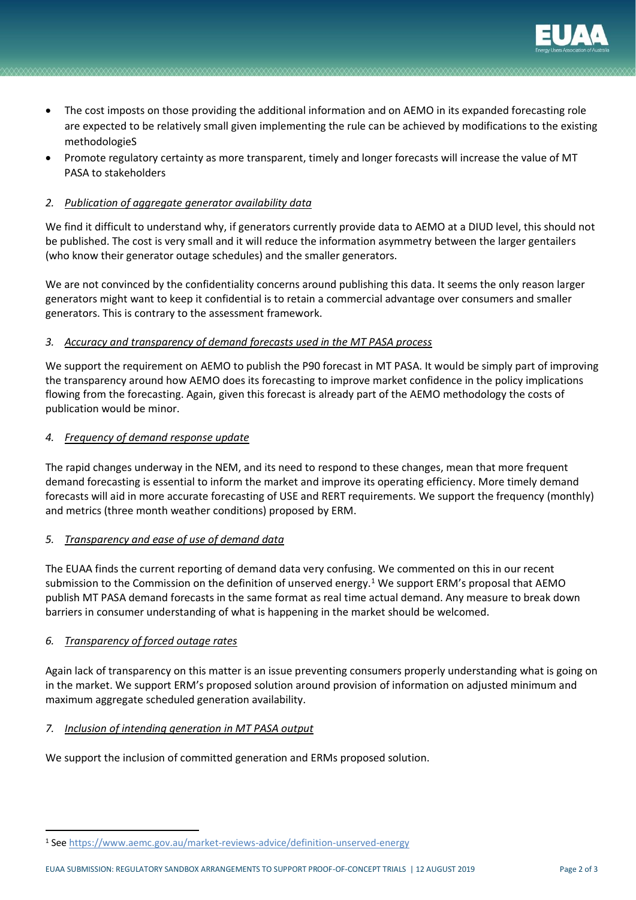

- The cost imposts on those providing the additional information and on AEMO in its expanded forecasting role are expected to be relatively small given implementing the rule can be achieved by modifications to the existing methodologieS
- Promote regulatory certainty as more transparent, timely and longer forecasts will increase the value of MT PASA to stakeholders

## *2. Publication of aggregate generator availability data*

We find it difficult to understand why, if generators currently provide data to AEMO at a DIUD level, this should not be published. The cost is very small and it will reduce the information asymmetry between the larger gentailers (who know their generator outage schedules) and the smaller generators.

We are not convinced by the confidentiality concerns around publishing this data. It seems the only reason larger generators might want to keep it confidential is to retain a commercial advantage over consumers and smaller generators. This is contrary to the assessment framework.

## *3. Accuracy and transparency of demand forecasts used in the MT PASA process*

We support the requirement on AEMO to publish the P90 forecast in MT PASA. It would be simply part of improving the transparency around how AEMO does its forecasting to improve market confidence in the policy implications flowing from the forecasting. Again, given this forecast is already part of the AEMO methodology the costs of publication would be minor.

#### *4. Frequency of demand response update*

The rapid changes underway in the NEM, and its need to respond to these changes, mean that more frequent demand forecasting is essential to inform the market and improve its operating efficiency. More timely demand forecasts will aid in more accurate forecasting of USE and RERT requirements. We support the frequency (monthly) and metrics (three month weather conditions) proposed by ERM.

#### *5. Transparency and ease of use of demand data*

The EUAA finds the current reporting of demand data very confusing. We commented on this in our recent submission to the Commission on the definition of unserved energy.<sup>1</sup> We support ERM's proposal that AEMO publish MT PASA demand forecasts in the same format as real time actual demand. Any measure to break down barriers in consumer understanding of what is happening in the market should be welcomed.

# *6. Transparency of forced outage rates*

Again lack of transparency on this matter is an issue preventing consumers properly understanding what is going on in the market. We support ERM's proposed solution around provision of information on adjusted minimum and maximum aggregate scheduled generation availability.

#### *7. Inclusion of intending generation in MT PASA output*

We support the inclusion of committed generation and ERMs proposed solution.

<sup>1</sup> See<https://www.aemc.gov.au/market-reviews-advice/definition-unserved-energy>